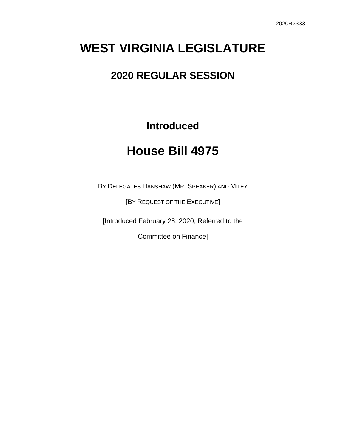## **WEST VIRGINIA LEGISLATURE**

## **2020 REGULAR SESSION**

**Introduced**

## **House Bill 4975**

BY DELEGATES HANSHAW (MR. SPEAKER) AND MILEY

[BY REQUEST OF THE EXECUTIVE]

[Introduced February 28, 2020; Referred to the

Committee on Finance]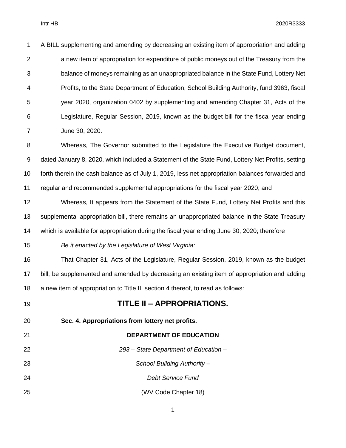| 1              | A BILL supplementing and amending by decreasing an existing item of appropriation and adding      |
|----------------|---------------------------------------------------------------------------------------------------|
| $\overline{2}$ | a new item of appropriation for expenditure of public moneys out of the Treasury from the         |
| 3              | balance of moneys remaining as an unappropriated balance in the State Fund, Lottery Net           |
| 4              | Profits, to the State Department of Education, School Building Authority, fund 3963, fiscal       |
| 5              | year 2020, organization 0402 by supplementing and amending Chapter 31, Acts of the                |
| 6              | Legislature, Regular Session, 2019, known as the budget bill for the fiscal year ending           |
| $\overline{7}$ | June 30, 2020.                                                                                    |
| 8              | Whereas, The Governor submitted to the Legislature the Executive Budget document,                 |
| 9              | dated January 8, 2020, which included a Statement of the State Fund, Lottery Net Profits, setting |
| 10             | forth therein the cash balance as of July 1, 2019, less net appropriation balances forwarded and  |
| 11             | regular and recommended supplemental appropriations for the fiscal year 2020; and                 |
| 12             | Whereas, It appears from the Statement of the State Fund, Lottery Net Profits and this            |
| 13             | supplemental appropriation bill, there remains an unappropriated balance in the State Treasury    |
| 14             | which is available for appropriation during the fiscal year ending June 30, 2020; therefore       |
| 15             | Be it enacted by the Legislature of West Virginia:                                                |
| 16             | That Chapter 31, Acts of the Legislature, Regular Session, 2019, known as the budget              |
| 17             | bill, be supplemented and amended by decreasing an existing item of appropriation and adding      |
| 18             | a new item of appropriation to Title II, section 4 thereof, to read as follows:                   |
| 19             | TITLE II - APPROPRIATIONS.                                                                        |
| 20             | Sec. 4. Appropriations from lottery net profits.                                                  |
| 21             | <b>DEPARTMENT OF EDUCATION</b>                                                                    |
| 22             | 293 - State Department of Education -                                                             |
| 23             | School Building Authority -                                                                       |
| 24             | <b>Debt Service Fund</b>                                                                          |
| 25             | (WV Code Chapter 18)                                                                              |
|                |                                                                                                   |